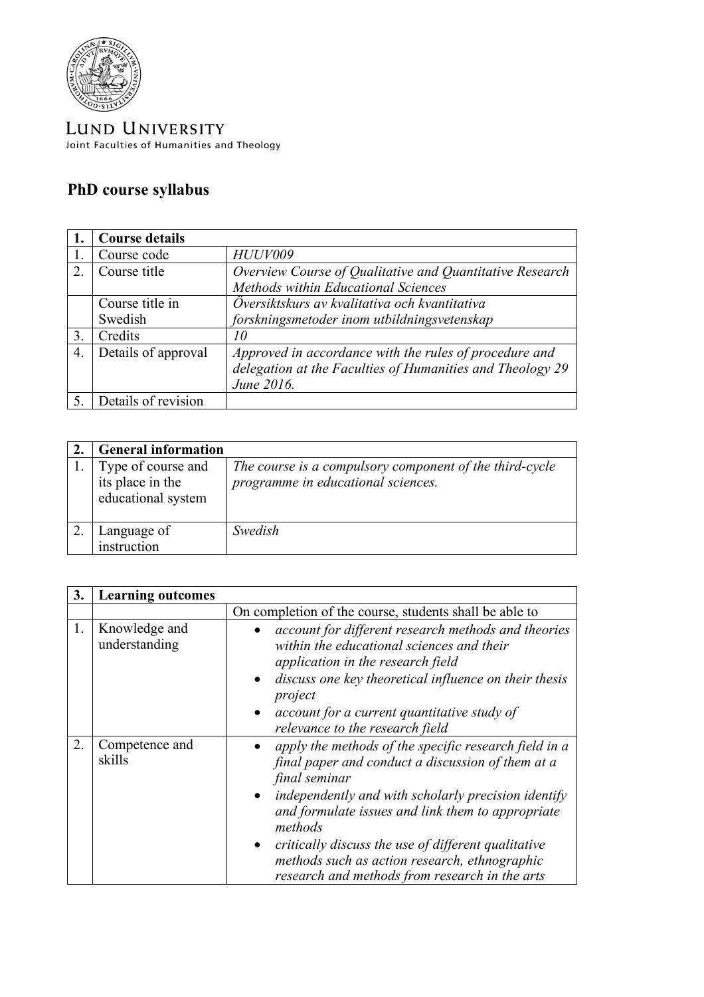

LUND UNIVERSITY Joint Faculties of Humanities and Theology

## **PhD course syllabus**

|                | <b>Course details</b>      |                                                                                                                                   |
|----------------|----------------------------|-----------------------------------------------------------------------------------------------------------------------------------|
|                | Course code                | <b>HUUV009</b>                                                                                                                    |
| 2              | Course title               | Overview Course of Qualitative and Quantitative Research<br>Methods within Educational Sciences                                   |
|                | Course title in<br>Swedish | Översiktskurs av kvalitativa och kvantitativa<br>forskningsmetoder inom utbildningsvetenskap                                      |
| 3.             | Credits                    | 10                                                                                                                                |
| $\overline{4}$ | Details of approval        | Approved in accordance with the rules of procedure and<br>delegation at the Faculties of Humanities and Theology 29<br>June 2016. |
|                | Details of revision        |                                                                                                                                   |

| <b>General information</b>                                   |                                                                                               |
|--------------------------------------------------------------|-----------------------------------------------------------------------------------------------|
| Type of course and<br>its place in the<br>educational system | The course is a compulsory component of the third-cycle<br>programme in educational sciences. |
| Language of<br>instruction                                   | Swedish                                                                                       |

| 3. | <b>Learning outcomes</b>       |                                                                                                                                                                                                                                                                                                                                                                                                              |
|----|--------------------------------|--------------------------------------------------------------------------------------------------------------------------------------------------------------------------------------------------------------------------------------------------------------------------------------------------------------------------------------------------------------------------------------------------------------|
|    |                                | On completion of the course, students shall be able to                                                                                                                                                                                                                                                                                                                                                       |
| 1. | Knowledge and<br>understanding | account for different research methods and theories<br>within the educational sciences and their<br>application in the research field<br>discuss one key theoretical influence on their thesis<br>$\bullet$<br>project<br>account for a current quantitative study of<br>relevance to the research field                                                                                                     |
| 2. | Competence and<br>skills       | apply the methods of the specific research field in a<br>final paper and conduct a discussion of them at a<br>final seminar<br>independently and with scholarly precision identify<br>and formulate issues and link them to appropriate<br>methods<br>critically discuss the use of different qualitative<br>methods such as action research, ethnographic<br>research and methods from research in the arts |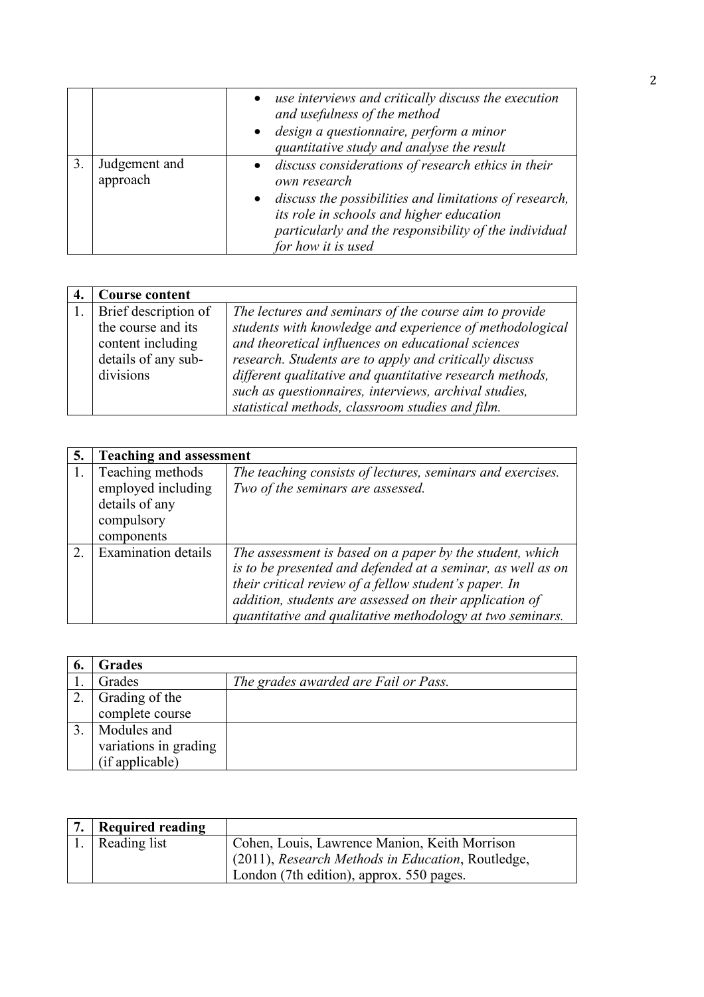|                           | use interviews and critically discuss the execution<br>$\bullet$<br>and usefulness of the method<br>· design a questionnaire, perform a minor<br>quantitative study and analyse the result                                                                |
|---------------------------|-----------------------------------------------------------------------------------------------------------------------------------------------------------------------------------------------------------------------------------------------------------|
| Judgement and<br>approach | • discuss considerations of research ethics in their<br>own research<br>discuss the possibilities and limitations of research,<br>its role in schools and higher education<br>particularly and the responsibility of the individual<br>for how it is used |

| <b>Course content</b> |                                                          |
|-----------------------|----------------------------------------------------------|
| Brief description of  | The lectures and seminars of the course aim to provide   |
| the course and its    | students with knowledge and experience of methodological |
| content including     | and theoretical influences on educational sciences       |
| details of any sub-   | research. Students are to apply and critically discuss   |
| divisions             | different qualitative and quantitative research methods, |
|                       | such as questionnaires, interviews, archival studies,    |
|                       | statistical methods, classroom studies and film.         |

| 5.                          | <b>Teaching and assessment</b>                                                       |                                                                                                                                                                                                                                                                                                          |
|-----------------------------|--------------------------------------------------------------------------------------|----------------------------------------------------------------------------------------------------------------------------------------------------------------------------------------------------------------------------------------------------------------------------------------------------------|
|                             | Teaching methods<br>employed including<br>details of any<br>compulsory<br>components | The teaching consists of lectures, seminars and exercises.<br>Two of the seminars are assessed.                                                                                                                                                                                                          |
| $\mathcal{D}_{\mathcal{L}}$ | <b>Examination details</b>                                                           | The assessment is based on a paper by the student, which<br>is to be presented and defended at a seminar, as well as on<br>their critical review of a fellow student's paper. In<br>addition, students are assessed on their application of<br>quantitative and qualitative methodology at two seminars. |

| -6. | <b>Grades</b>         |                                      |
|-----|-----------------------|--------------------------------------|
|     | Grades                | The grades awarded are Fail or Pass. |
|     | Grading of the        |                                      |
|     | complete course       |                                      |
|     | Modules and           |                                      |
|     | variations in grading |                                      |
|     | (if applicable)       |                                      |

| <b>Required reading</b> |                                                                                                    |
|-------------------------|----------------------------------------------------------------------------------------------------|
| 1. Reading list         | Cohen, Louis, Lawrence Manion, Keith Morrison<br>(2011), Research Methods in Education, Routledge, |
|                         | London (7th edition), approx. 550 pages.                                                           |